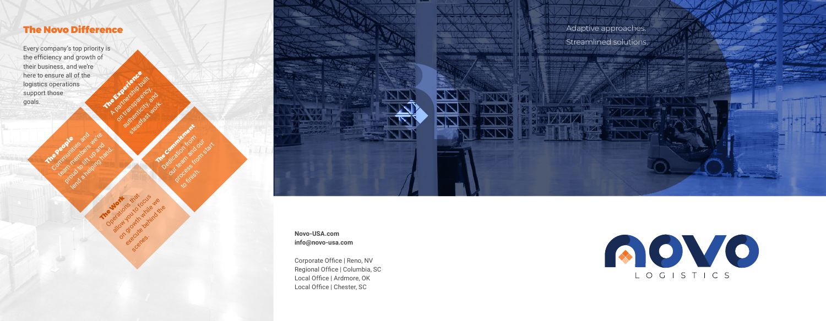# The Novo Difference

Every company's top priority is the efficiency and growth of their business, and we're here to ensure all of the logistics operations support those goals. Orangola Article 1994 Article 2006 Article 2007 Article 2007 Article 2007 Article 2007 Article 2007 Article 2007 Article 2007 Article 2007 Article 2007 Article 2007 Article 2007 Article 2007 Article 2007 Article 2007 Artic

The People Communities and text up and length up and length in and



**Novo-USA.com info@novo-usa.com**

Corporate Office | Reno, NV Regional Office | Columbia, SC Local Office | Ardmore, OK Local Office | Chester, SC

Adaptive approaches. Streamlined solutions.